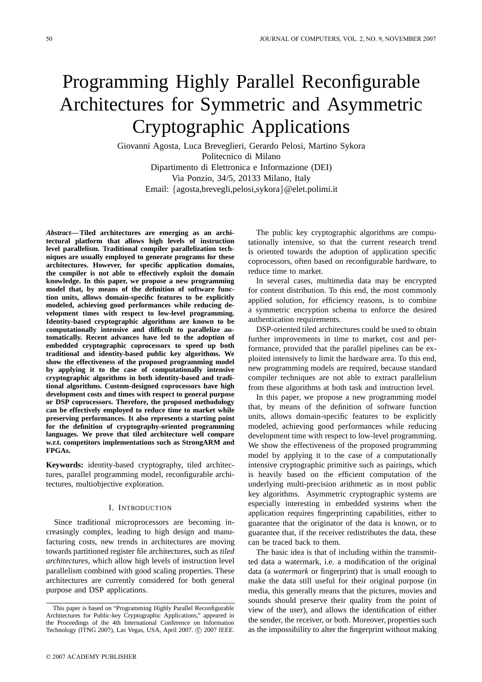# Programming Highly Parallel Reconfigurable Architectures for Symmetric and Asymmetric Cryptographic Applications

Giovanni Agosta, Luca Breveglieri, Gerardo Pelosi, Martino Sykora Politecnico di Milano Dipartimento di Elettronica e Informazione (DEI) Via Ponzio, 34/5, 20133 Milano, Italy Email: {agosta,brevegli,pelosi,sykora}@elet.polimi.it

*Abstract***— Tiled architectures are emerging as an architectural platform that allows high levels of instruction level parallelism. Traditional compiler parallelization techniques are usually employed to generate programs for these architectures. However, for specific application domains, the compiler is not able to effectively exploit the domain knowledge. In this paper, we propose a new programming model that, by means of the definition of software function units, allows domain-specific features to be explicitly modeled, achieving good performances while reducing development times with respect to low-level programming. Identity-based cryptographic algorithms are known to be computationally intensive and difficult to parallelize automatically. Recent advances have led to the adoption of embedded cryptographic coprocessors to speed up both traditional and identity-based public key algorithms. We show the effectiveness of the proposed programming model by applying it to the case of computationally intensive cryptographic algorithms in both identity-based and traditional algorithms. Custom-designed coprocessors have high development costs and times with respect to general purpose or DSP coprocessors. Therefore, the proposed methodology can be effectively employed to reduce time to market while preserving performances. It also represents a starting point for the definition of cryptography-oriented programming languages. We prove that tiled architecture well compare w.r.t. competitors implementations such as StrongARM and FPGAs.**

**Keywords:** identity-based cryptography, tiled architectures, parallel programming model, reconfigurable architectures, multiobjective exploration.

## I. INTRODUCTION

Since traditional microprocessors are becoming increasingly complex, leading to high design and manufacturing costs, new trends in architectures are moving towards partitioned register file architectures, such as *tiled architectures*, which allow high levels of instruction level parallelism combined with good scaling properties. These architectures are currently considered for both general purpose and DSP applications.

The public key cryptographic algorithms are computationally intensive, so that the current research trend is oriented towards the adoption of application specific coprocessors, often based on reconfigurable hardware, to reduce time to market.

In several cases, multimedia data may be encrypted for content distribution. To this end, the most commonly applied solution, for efficiency reasons, is to combine a symmetric encryption schema to enforce the desired authentication requirements.

DSP-oriented tiled architectures could be used to obtain further improvements in time to market, cost and performance, provided that the parallel pipelines can be exploited intensively to limit the hardware area. To this end, new programming models are required, because standard compiler techniques are not able to extract parallelism from these algorithms at both task and instruction level.

In this paper, we propose a new programming model that, by means of the definition of software function units, allows domain-specific features to be explicitly modeled, achieving good performances while reducing development time with respect to low-level programming. We show the effectiveness of the proposed programming model by applying it to the case of a computationally intensive cryptographic primitive such as pairings, which is heavily based on the efficient computation of the underlying multi-precision arithmetic as in most public key algorithms. Asymmetric cryptographic systems are especially interesting in embedded systems when the application requires fingerprinting capabilities, either to guarantee that the originator of the data is known, or to guarantee that, if the receiver redistributes the data, these can be traced back to them.

The basic idea is that of including within the transmitted data a watermark, i.e. a modification of the original data (a *watermark* or fingerprint) that is small enough to make the data still useful for their original purpose (in media, this generally means that the pictures, movies and sounds should preserve their quality from the point of view of the user), and allows the identification of either the sender, the receiver, or both. Moreover, properties such as the impossibility to alter the fingerprint without making

This paper is based on "Programming Highly Parallel Reconfigurable Architectures for Public-key Cryptographic Applications," appeared in the Proceedings of the 4th International Conference on Information Technology (ITNG 2007), Las Vegas, USA, April 2007. © 2007 IEEE.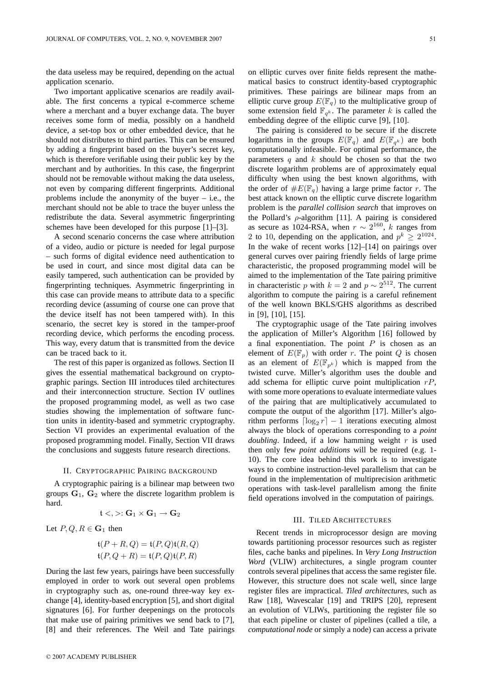the data useless may be required, depending on the actual application scenario.

Two important applicative scenarios are readily available. The first concerns a typical e-commerce scheme where a merchant and a buyer exchange data. The buyer receives some form of media, possibly on a handheld device, a set-top box or other embedded device, that he should not distributes to third parties. This can be ensured by adding a fingerprint based on the buyer's secret key, which is therefore verifiable using their public key by the merchant and by authorities. In this case, the fingerprint should not be removable without making the data useless, not even by comparing different fingerprints. Additional problems include the anonymity of the buyer  $-$  i.e., the merchant should not be able to trace the buyer unless the redistribute the data. Several asymmetric fingerprinting schemes have been developed for this purpose [1]–[3].

A second scenario concerns the case where attribution of a video, audio or picture is needed for legal purpose – such forms of digital evidence need authentication to be used in court, and since most digital data can be easily tampered, such authentication can be provided by fingerprinting techniques. Asymmetric fingerprinting in this case can provide means to attribute data to a specific recording device (assuming of course one can prove that the device itself has not been tampered with). In this scenario, the secret key is stored in the tamper-proof recording device, which performs the encoding process. This way, every datum that is transmitted from the device can be traced back to it.

The rest of this paper is organized as follows. Section II gives the essential mathematical background on cryptographic parings. Section III introduces tiled architectures and their interconnection structure. Section IV outlines the proposed programming model, as well as two case studies showing the implementation of software function units in identity-based and symmetric cryptography. Section VI provides an experimental evaluation of the proposed programming model. Finally, Section VII draws the conclusions and suggests future research directions.

## II. CRYPTOGRAPHIC PAIRING BACKGROUND

A cryptographic pairing is a bilinear map between two groups  $G_1$ ,  $G_2$  where the discrete logarithm problem is hard.

$$
\mathfrak{t} <,>: \mathbf{G}_1 \times \mathbf{G}_1 \rightarrow \mathbf{G}_2
$$

Let  $P, Q, R \in \mathbf{G}_1$  then

$$
\mathfrak{t}(P+R,Q) = \mathfrak{t}(P,Q)\mathfrak{t}(R,Q)
$$

$$
\mathfrak{t}(P,Q+R) = \mathfrak{t}(P,Q)\mathfrak{t}(P,R)
$$

During the last few years, pairings have been successfully employed in order to work out several open problems in cryptography such as, one-round three-way key exchange [4], identity-based encryption [5], and short digital signatures [6]. For further deepenings on the protocols that make use of pairing primitives we send back to [7], [8] and their references. The Weil and Tate pairings on elliptic curves over finite fields represent the mathematical basics to construct identity-based cryptographic primitives. These pairings are bilinear maps from an elliptic curve group  $E(\mathbb{F}_q)$  to the multiplicative group of some extension field  $\mathbb{F}_{q^k}$ . The parameter k is called the embedding degree of the elliptic curve [9], [10].

The pairing is considered to be secure if the discrete logarithms in the groups  $E(\mathbb{F}_q)$  and  $E(\mathbb{F}_{q^k})$  are both computationally infeasible. For optimal performance, the parameters  $q$  and  $k$  should be chosen so that the two discrete logarithm problems are of approximately equal difficulty when using the best known algorithms, with the order of  $\#E(\mathbb{F}_q)$  having a large prime factor r. The best attack known on the elliptic curve discrete logarithm problem is the *parallel collision search* that improves on the Pollard's  $\rho$ -algorithm [11]. A pairing is considered as secure as 1024-RSA, when  $r \sim 2^{160}$ , k ranges from 2 to 10, depending on the application, and  $p^k \ge 2^{1024}$ . In the wake of recent works [12]–[14] on pairings over general curves over pairing friendly fields of large prime characteristic, the proposed programming model will be aimed to the implementation of the Tate pairing primitive in characteristic p with  $k = 2$  and  $p \sim 2^{512}$ . The current algorithm to compute the pairing is a careful refinement of the well known BKLS/GHS algorithms as described in [9], [10], [15].

The cryptographic usage of the Tate pairing involves the application of Miller's Algorithm [16] followed by a final exponentiation. The point  $P$  is chosen as an element of  $E(\mathbb{F}_p)$  with order r. The point Q is chosen as an element of  $E(\mathbb{F}_{p^k})$  which is mapped from the twisted curve. Miller's algorithm uses the double and add schema for elliptic curve point multiplication  $rP$ , with some more operations to evaluate intermediate values of the pairing that are multiplicatively accumulated to compute the output of the algorithm [17]. Miller's algorithm performs  $\lceil \log_2 r \rceil - 1$  iterations executing almost always the block of operations corresponding to a *point doubling*. Indeed, if a low hamming weight  $r$  is used then only few *point additions* will be required (e.g. 1- 10). The core idea behind this work is to investigate ways to combine instruction-level parallelism that can be found in the implementation of multiprecision arithmetic operations with task-level parallelism among the finite field operations involved in the computation of pairings.

## III. TILED ARCHITECTURES

Recent trends in microprocessor design are moving towards partitioning processor resources such as register files, cache banks and pipelines. In *Very Long Instruction Word* (VLIW) architectures, a single program counter controls several pipelines that access the same register file. However, this structure does not scale well, since large register files are impractical. *Tiled architectures*, such as Raw [18], Wavescalar [19] and TRIPS [20], represent an evolution of VLIWs, partitioning the register file so that each pipeline or cluster of pipelines (called a tile, a *computational node* or simply a node) can access a private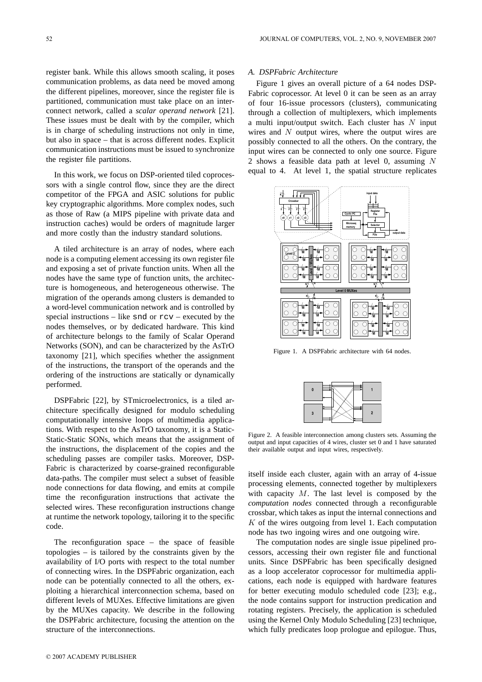register bank. While this allows smooth scaling, it poses communication problems, as data need be moved among the different pipelines, moreover, since the register file is partitioned, communication must take place on an interconnect network, called a *scalar operand network* [21]. These issues must be dealt with by the compiler, which is in charge of scheduling instructions not only in time, but also in space – that is across different nodes. Explicit communication instructions must be issued to synchronize the register file partitions.

In this work, we focus on DSP-oriented tiled coprocessors with a single control flow, since they are the direct competitor of the FPGA and ASIC solutions for public key cryptographic algorithms. More complex nodes, such as those of Raw (a MIPS pipeline with private data and instruction caches) would be orders of magnitude larger and more costly than the industry standard solutions.

A tiled architecture is an array of nodes, where each node is a computing element accessing its own register file and exposing a set of private function units. When all the nodes have the same type of function units, the architecture is homogeneous, and heterogeneous otherwise. The migration of the operands among clusters is demanded to a word-level communication network and is controlled by special instructions – like snd or  $rcv$  – executed by the nodes themselves, or by dedicated hardware. This kind of architecture belongs to the family of Scalar Operand Networks (SON), and can be characterized by the AsTrO taxonomy [21], which specifies whether the assignment of the instructions, the transport of the operands and the ordering of the instructions are statically or dynamically performed.

DSPFabric [22], by STmicroelectronics, is a tiled architecture specifically designed for modulo scheduling computationally intensive loops of multimedia applications. With respect to the AsTrO taxonomy, it is a Static-Static-Static SONs, which means that the assignment of the instructions, the displacement of the copies and the scheduling passes are compiler tasks. Moreover, DSP-Fabric is characterized by coarse-grained reconfigurable data-paths. The compiler must select a subset of feasible node connections for data flowing, and emits at compile time the reconfiguration instructions that activate the selected wires. These reconfiguration instructions change at runtime the network topology, tailoring it to the specific code.

The reconfiguration space  $-$  the space of feasible topologies – is tailored by the constraints given by the availability of I/O ports with respect to the total number of connecting wires. In the DSPFabric organization, each node can be potentially connected to all the others, exploiting a hierarchical interconnection schema, based on different levels of MUXes. Effective limitations are given by the MUXes capacity. We describe in the following the DSPFabric architecture, focusing the attention on the structure of the interconnections.

### *A. DSPFabric Architecture*

Figure 1 gives an overall picture of a 64 nodes DSP-Fabric coprocessor. At level 0 it can be seen as an array of four 16-issue processors (clusters), communicating through a collection of multiplexers, which implements a multi input/output switch. Each cluster has  $N$  input wires and  $N$  output wires, where the output wires are possibly connected to all the others. On the contrary, the input wires can be connected to only one source. Figure 2 shows a feasible data path at level 0, assuming N equal to 4. At level 1, the spatial structure replicates



Figure 1. A DSPFabric architecture with 64 nodes.



Figure 2. A feasible interconnection among clusters sets. Assuming the output and input capacities of 4 wires, cluster set 0 and 1 have saturated their available output and input wires, respectively.

itself inside each cluster, again with an array of 4-issue processing elements, connected together by multiplexers with capacity  $M$ . The last level is composed by the *computation nodes* connected through a reconfigurable crossbar, which takes as input the internal connections and  $K$  of the wires outgoing from level 1. Each computation node has two ingoing wires and one outgoing wire.

The computation nodes are single issue pipelined processors, accessing their own register file and functional units. Since DSPFabric has been specifically designed as a loop accelerator coprocessor for multimedia applications, each node is equipped with hardware features for better executing modulo scheduled code [23]; e.g., the node contains support for instruction predication and rotating registers. Precisely, the application is scheduled using the Kernel Only Modulo Scheduling [23] technique, which fully predicates loop prologue and epilogue. Thus,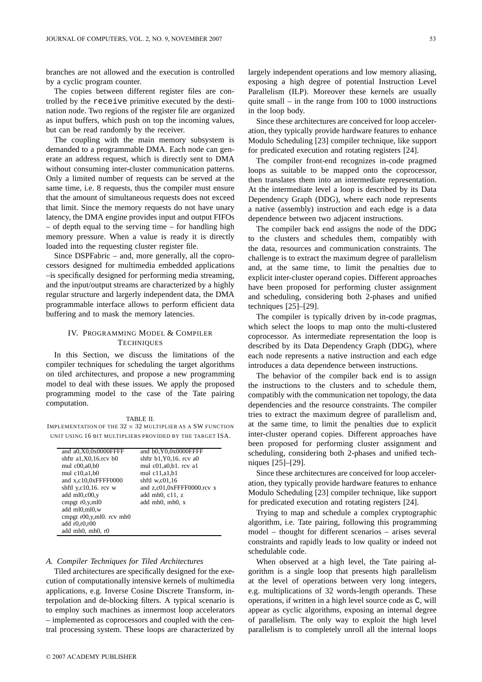branches are not allowed and the execution is controlled by a cyclic program counter.

The copies between different register files are controlled by the receive primitive executed by the destination node. Two regions of the register file are organized as input buffers, which push on top the incoming values, but can be read randomly by the receiver.

The coupling with the main memory subsystem is demanded to a programmable DMA. Each node can generate an address request, which is directly sent to DMA without consuming inter-cluster communication patterns. Only a limited number of requests can be served at the same time, i.e. 8 requests, thus the compiler must ensure that the amount of simultaneous requests does not exceed that limit. Since the memory requests do not have unary latency, the DMA engine provides input and output FIFOs – of depth equal to the serving time – for handling high memory pressure. When a value is ready it is directly loaded into the requesting cluster register file.

Since DSPFabric – and, more generally, all the coprocessors designed for multimedia embedded applications –is specifically designed for performing media streaming, and the input/output streams are characterized by a highly regular structure and largerly independent data, the DMA programmable interface allows to perform efficient data buffering and to mask the memory latencies.

## IV. PROGRAMMING MODEL & COMPILER **TECHNIQUES**

In this Section, we discuss the limitations of the compiler techniques for scheduling the target algorithms on tiled architectures, and propose a new programming model to deal with these issues. We apply the proposed programming model to the case of the Tate pairing computation.

TABLE II. IMPLEMENTATION OF THE  $32 \times 32$  MULTIPLIER AS A SW FUNCTION UNIT USING 16 BIT MULTIPLIERS PROVIDED BY THE TARGET ISA.

| and a0,X0,0x0000FFFF             | and b0,Y0,0x0000FFFF                  |
|----------------------------------|---------------------------------------|
| shftr $a1,X0,16$ .rcv b0         | shftr $b1, Y0, 16$ . rcv a0           |
| mul $c00$ , a $0$ , b $0$        | mul $c01$ , a $0$ , b $1$ . rcv a $1$ |
| mul c10,a1,b0                    | mul $c11$ , al, b $1$                 |
| and x,c10,0xFFFF0000             | shftl w,c $01,16$                     |
| shftl y,c $10,16$ . rcv w        | and z,c01,0xFFFF0000.rcv x            |
| add $ml0,c00,y$                  | add mh $0$ , c $11$ , z               |
| cmpgt $r0, y, ml0$               | add mh0, mh0, x                       |
| add ml0,ml0,w                    |                                       |
| cmpgt $r00, y, ml0$ . rcv mh $0$ |                                       |
| add $r0.r0.r00$                  |                                       |
| add mh0, mh0, r0                 |                                       |

## *A. Compiler Techniques for Tiled Architectures*

Tiled architectures are specifically designed for the execution of computationally intensive kernels of multimedia applications, e.g. Inverse Cosine Discrete Transform, interpolation and de-blocking filters. A typical scenario is to employ such machines as innermost loop accelerators – implemented as coprocessors and coupled with the central processing system. These loops are characterized by

largely independent operations and low memory aliasing, exposing a high degree of potential Instruction Level Parallelism (ILP). Moreover these kernels are usually quite small – in the range from 100 to 1000 instructions in the loop body.

Since these architectures are conceived for loop acceleration, they typically provide hardware features to enhance Modulo Scheduling [23] compiler technique, like support for predicated execution and rotating registers [24].

The compiler front-end recognizes in-code pragmed loops as suitable to be mapped onto the coprocessor, then translates them into an intermediate representation. At the intermediate level a loop is described by its Data Dependency Graph (DDG), where each node represents a native (assembly) instruction and each edge is a data dependence between two adjacent instructions.

The compiler back end assigns the node of the DDG to the clusters and schedules them, compatibly with the data, resources and communication constraints. The challenge is to extract the maximum degree of parallelism and, at the same time, to limit the penalties due to explicit inter-cluster operand copies. Different approaches have been proposed for performing cluster assignment and scheduling, considering both 2-phases and unified techniques [25]–[29].

The compiler is typically driven by in-code pragmas, which select the loops to map onto the multi-clustered coprocessor. As intermediate representation the loop is described by its Data Dependency Graph (DDG), where each node represents a native instruction and each edge introduces a data dependence between instructions.

The behavior of the compiler back end is to assign the instructions to the clusters and to schedule them, compatibly with the communication net topology, the data dependencies and the resource constraints. The compiler tries to extract the maximum degree of parallelism and, at the same time, to limit the penalties due to explicit inter-cluster operand copies. Different approaches have been proposed for performing cluster assignment and scheduling, considering both 2-phases and unified techniques [25]–[29].

Since these architectures are conceived for loop acceleration, they typically provide hardware features to enhance Modulo Scheduling [23] compiler technique, like support for predicated execution and rotating registers [24].

Trying to map and schedule a complex cryptographic algorithm, i.e. Tate pairing, following this programming model – thought for different scenarios – arises several constraints and rapidly leads to low quality or indeed not schedulable code.

When observed at a high level, the Tate pairing algorithm is a single loop that presents high parallelism at the level of operations between very long integers, e.g. multiplications of 32 words-length operands. These operations, if written in a high level source code as C, will appear as cyclic algorithms, exposing an internal degree of parallelism. The only way to exploit the high level parallelism is to completely unroll all the internal loops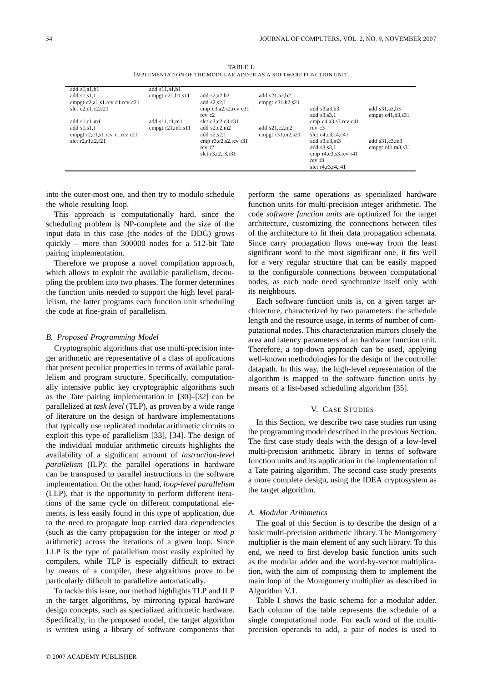| add s1.a1.b1                          | add $s11,a1,b1$              |                                      |                    |                                    |                      |
|---------------------------------------|------------------------------|--------------------------------------|--------------------|------------------------------------|----------------------|
| add s1.s1.1                           | cmpgt $c21,b1,s11$           | add $s2.a2.b2$                       | add $s21.a2.b2$    |                                    |                      |
| $empgt$ c2, a1, s1.rcv c1.rcv c21     |                              | add $s2,s2,1$                        | cmpgt $c31,b2,s21$ |                                    |                      |
| slct c2.c1.c2.c21                     |                              | cmp $c3$ , $a2$ , $s2$ , $rcv$ $c31$ |                    | add $s3$ , $a3$ , $b3$             | add $s31, a3, b3$    |
|                                       |                              | rcv c2                               |                    | add $s3.s3.1$                      | cmpgt $c41, b3, s31$ |
| add s1.c1.m1                          | add $s11,c1,m1$              | slct $c3.c2.c3.c31$                  |                    | cmp $c4$ , $a3$ , $s3$ , rcv $c41$ |                      |
| add s1.s1.1                           | cmpgt $r21$ , m $1$ , s $11$ | add $s2.c2.m2$                       | add $s21.c2.m2$    | rcv c3                             |                      |
| cmpgt $r2,c1,s1$ .rcv $r1$ .rcv $r21$ |                              | add $s2.s2.1$                        | cmpgt $r31,m2,s21$ | slct c4,c3,c4,c41                  |                      |
| slet r2.r1.r2.r21                     |                              | cmp $r3,c2,s2$ .rcv $r31$            |                    | add $s3,c3,m3$                     | add $s31,c3,m3$      |
|                                       |                              | $rcv_1^2$                            |                    | add $s3.83.1$                      | cmpgt $r41, m3, s31$ |

slct r3,r2,r3,r31 cmp r4,c3,s3.rcv r41

rcv r3 slet  $r4$   $r3$   $r4$   $r41$ 

TABLE I. IMPLEMENTATION OF THE MODULAR ADDER AS A SOFTWARE FUNCTION UNIT.

into the outer-most one, and then try to modulo schedule the whole resulting loop.

This approach is computationally hard, since the scheduling problem is NP-complete and the size of the input data in this case (the nodes of the DDG) grows quickly – more than 300000 nodes for a 512-bit Tate pairing implementation.

Therefore we propose a novel compilation approach, which allows to exploit the available parallelism, decoupling the problem into two phases. The former determines the function units needed to support the high level parallelism, the latter programs each function unit scheduling the code at fine-grain of parallelism.

## *B. Proposed Programming Model*

Cryptographic algorithms that use multi-precision integer arithmetic are representative of a class of applications that present peculiar properties in terms of available parallelism and program structure. Specifically, computationally intensive public key cryptographic algorithms such as the Tate pairing implementation in [30]–[32] can be parallelized at *task level* (TLP), as proven by a wide range of literature on the design of hardware implementations that typically use replicated modular arithmetic circuits to exploit this type of parallelism [33], [34]. The design of the individual modular arithmetic circuits highlights the availability of a significant amount of *instruction-level parallelism* (ILP): the parallel operations in hardware can be transposed to parallel instructions in the software implementation. On the other hand, *loop-level parallelism* (LLP), that is the opportunity to perform different iterations of the same cycle on different computational elements, is less easily found in this type of application, due to the need to propagate loop carried data dependencies (such as the carry propagation for the integer or *mod p* arithmetic) across the iterations of a given loop. Since LLP is the type of parallelism most easily exploited by compilers, while TLP is especially difficult to extract by means of a compiler, these algorithms prove to be particularly difficult to parallelize automatically.

To tackle this issue, our method highlights TLP and ILP in the target algorithms, by mirroring typical hardware design concepts, such as specialized arithmetic hardware. Specifically, in the proposed model, the target algorithm is written using a library of software components that

perform the same operations as specialized hardware function units for multi-precision integer arithmetic. The code *software function units* are optimized for the target architecture, customizing the connections between tiles of the architecture to fit their data propagation schemata. Since carry propagation flows one-way from the least significant word to the most significant one, it fits well for a very regular structure that can be easily mapped to the configurable connections between computational nodes, as each node need synchronize itself only with its neighbours.

Each software function units is, on a given target architecture, characterized by two parameters: the schedule length and the resource usage, in terms of number of computational nodes. This characterization mirrors closely the area and latency parameters of an hardware function unit. Therefore, a top-down approach can be used, applying well-known methodologies for the design of the controller datapath. In this way, the high-level representation of the algorithm is mapped to the software function units by means of a list-based scheduling algorithm [35].

## V. CASE STUDIES

In this Section, we describe two case studies run using the programming model described in the previous Section. The first case study deals with the design of a low-level multi-precision arithmetic library in terms of software function units and its application in the implementation of a Tate pairing algorithm. The second case study presents a more complete design, using the IDEA cryptosystem as the target algorithm.

#### *A. Modular Arithmetics*

The goal of this Section is to describe the design of a basic multi-precision arithmetic library. The Montgomery multiplier is the main element of any such library. To this end, we need to first develop basic function units such as the modular adder and the word-by-vector multiplication, with the aim of composing them to implement the main loop of the Montgomery multiplier as described in Algorithm V.1.

Table I shows the basic schema for a modular adder. Each column of the table represents the schedule of a single computational node. For each word of the multiprecision operands to add, a pair of nodes is used to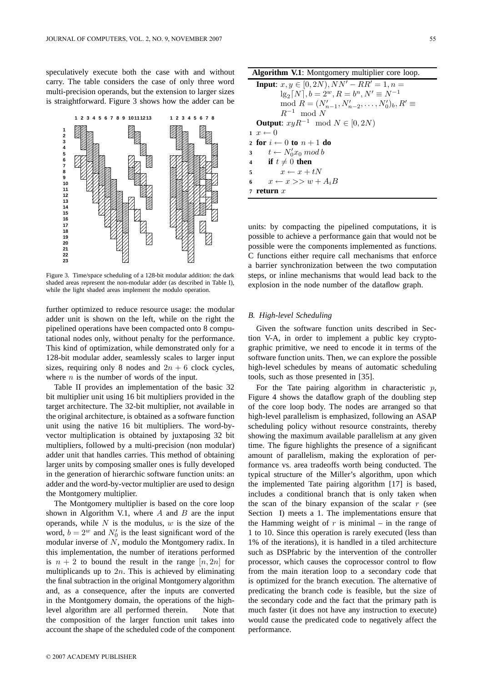speculatively execute both the case with and without carry. The table considers the case of only three word multi-precision operands, but the extension to larger sizes is straightforward. Figure 3 shows how the adder can be



Figure 3. Time/space scheduling of a 128-bit modular addition: the dark shaded areas represent the non-modular adder (as described in Table I), while the light shaded areas implement the modulo operation.

further optimized to reduce resource usage: the modular adder unit is shown on the left, while on the right the pipelined operations have been compacted onto 8 computational nodes only, without penalty for the performance. This kind of optimization, while demonstrated only for a 128-bit modular adder, seamlessly scales to larger input sizes, requiring only 8 nodes and  $2n + 6$  clock cycles, where  $n$  is the number of words of the input.

Table II provides an implementation of the basic 32 bit multiplier unit using 16 bit multipliers provided in the target architecture. The 32-bit multiplier, not available in the original architecture, is obtained as a software function unit using the native 16 bit multipliers. The word-byvector multiplication is obtained by juxtaposing 32 bit multipliers, followed by a multi-precision (non modular) adder unit that handles carries. This method of obtaining larger units by composing smaller ones is fully developed in the generation of hierarchic software function units: an adder and the word-by-vector multiplier are used to design the Montgomery multiplier.

The Montgomery multiplier is based on the core loop shown in Algorithm V.1, where  $A$  and  $B$  are the input operands, while  $N$  is the modulus,  $w$  is the size of the word,  $b = 2^w$  and  $N'_0$  is the least significant word of the modular inverse of N, modulo the Montgomery radix. In this implementation, the number of iterations performed is  $n + 2$  to bound the result in the range  $[n, 2n]$  for multiplicands up to  $2n$ . This is achieved by eliminating the final subtraction in the original Montgomery algorithm and, as a consequence, after the inputs are converted in the Montgomery domain, the operations of the highlevel algorithm are all performed therein. Note that the composition of the larger function unit takes into account the shape of the scheduled code of the component

```
Input: x, y \in [0, 2N), NN' - RR' = 1, n =\lg_2[N], b = 2^w, R = b^n, N' \equiv N^{-1}\mod R = (N'_{n-1}, N'_{n-2}, \ldots, N'_{0})_{b}, R' \equivR^{-1} \mod NOutput: xyR^{-1} \mod N \in [0, 2N)x \leftarrow 02 for i \leftarrow 0 to n + 1 do
3 t \leftarrow N'_0 x_0 \mod b4 if t \neq 0 then
5 x \leftarrow x + tN6 x \leftarrow x \gt\gt w + A_iB7 return x
```
units: by compacting the pipelined computations, it is possible to achieve a performance gain that would not be possible were the components implemented as functions. C functions either require call mechanisms that enforce a barrier synchronization between the two computation steps, or inline mechanisms that would lead back to the explosion in the node number of the dataflow graph.

# *B. High-level Scheduling*

Given the software function units described in Section V-A, in order to implement a public key cryptographic primitive, we need to encode it in terms of the software function units. Then, we can explore the possible high-level schedules by means of automatic scheduling tools, such as those presented in [35].

For the Tate pairing algorithm in characteristic  $p$ , Figure 4 shows the dataflow graph of the doubling step of the core loop body. The nodes are arranged so that high-level parallelism is emphasized, following an ASAP scheduling policy without resource constraints, thereby showing the maximum available parallelism at any given time. The figure highlights the presence of a significant amount of parallelism, making the exploration of performance vs. area tradeoffs worth being conducted. The typical structure of the Miller's algorithm, upon which the implemented Tate pairing algorithm [17] is based, includes a conditional branch that is only taken when the scan of the binary expansion of the scalar  $r$  (see Section I) meets a 1. The implementations ensure that the Hamming weight of  $r$  is minimal – in the range of 1 to 10. Since this operation is rarely executed (less than 1% of the iterations), it is handled in a tiled architecture such as DSPfabric by the intervention of the controller processor, which causes the coprocessor control to flow from the main iteration loop to a secondary code that is optimized for the branch execution. The alternative of predicating the branch code is feasible, but the size of the secondary code and the fact that the primary path is much faster (it does not have any instruction to execute) would cause the predicated code to negatively affect the performance.

© 2007 ACADEMY PUBLISHER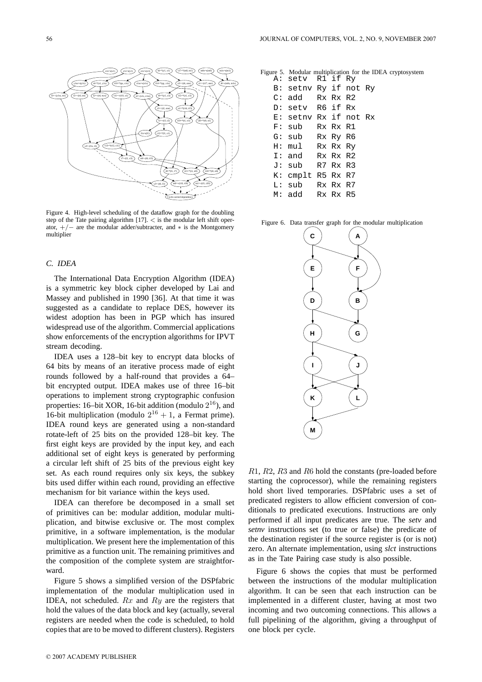

Figure 4. High-level scheduling of the dataflow graph for the doubling step of the Tate pairing algorithm  $[17]$ .  $\lt$  is the modular left shift operator,  $+/-$  are the modular adder/subtracter, and  $*$  is the Montgomery multiplier

# *C. IDEA*

The International Data Encryption Algorithm (IDEA) is a symmetric key block cipher developed by Lai and Massey and published in 1990 [36]. At that time it was suggested as a candidate to replace DES, however its widest adoption has been in PGP which has insured widespread use of the algorithm. Commercial applications show enforcements of the encryption algorithms for IPVT stream decoding.

IDEA uses a 128–bit key to encrypt data blocks of 64 bits by means of an iterative process made of eight rounds followed by a half-round that provides a 64– bit encrypted output. IDEA makes use of three 16–bit operations to implement strong cryptographic confusion properties:  $16$ -bit XOR,  $16$ -bit addition (modulo  $2^{16}$ ), and 16-bit multiplication (modulo  $2^{16} + 1$ , a Fermat prime). IDEA round keys are generated using a non-standard rotate-left of 25 bits on the provided 128–bit key. The first eight keys are provided by the input key, and each additional set of eight keys is generated by performing a circular left shift of 25 bits of the previous eight key set. As each round requires only six keys, the subkey bits used differ within each round, providing an effective mechanism for bit variance within the keys used.

IDEA can therefore be decomposed in a small set of primitives can be: modular addition, modular multiplication, and bitwise exclusive or. The most complex primitive, in a software implementation, is the modular multiplication. We present here the implementation of this primitive as a function unit. The remaining primitives and the composition of the complete system are straightforward.

Figure 5 shows a simplified version of the DSPfabric implementation of the modular multiplication used in IDEA, not scheduled.  $Rx$  and  $Ry$  are the registers that hold the values of the data block and key (actually, several registers are needed when the code is scheduled, to hold copies that are to be moved to different clusters). Registers

|    |                    |          | Figure 5. Modular multiplication for the IDEA cryptosystem |
|----|--------------------|----------|------------------------------------------------------------|
|    | A: setv – R1 if Ry |          |                                                            |
|    |                    |          | B: setny Ry if not Ry                                      |
|    | C: add Rx Rx R2    |          |                                                            |
| D: | sety R6 if Rx      |          |                                                            |
|    |                    |          | E: setny Rx if not Rx                                      |
|    | F: sub             | Rx Rx R1 |                                                            |
|    | G: sub Rx Ry R6    |          |                                                            |
|    | H: mul Rx Rx Ry    |          |                                                            |
|    | I: and             | Rx Rx R2 |                                                            |
|    | $J: sub$ R7 Rx R3  |          |                                                            |
|    | K: cmplt R5 Rx R7  |          |                                                            |
| L: | sub                | Rx Rx R7 |                                                            |
|    | M: add Rx Rx R5    |          |                                                            |

Figure 6. Data transfer graph for the modular multiplication



R1, R2, R3 and R6 hold the constants (pre-loaded before starting the coprocessor), while the remaining registers hold short lived temporaries. DSPfabric uses a set of predicated registers to allow efficient conversion of conditionals to predicated executions. Instructions are only performed if all input predicates are true. The *setv* and *setnv* instructions set (to true or false) the predicate of the destination register if the source register is (or is not) zero. An alternate implementation, using *slct* instructions as in the Tate Pairing case study is also possible.

Figure 6 shows the copies that must be performed between the instructions of the modular multiplication algorithm. It can be seen that each instruction can be implemented in a different cluster, having at most two incoming and two outcoming connections. This allows a full pipelining of the algorithm, giving a throughput of one block per cycle.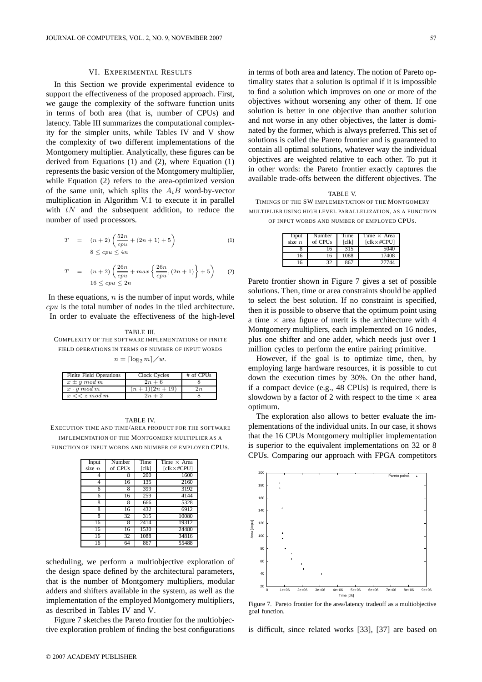#### VI. EXPERIMENTAL RESULTS

In this Section we provide experimental evidence to support the effectiveness of the proposed approach. First, we gauge the complexity of the software function units in terms of both area (that is, number of CPUs) and latency. Table III summarizes the computational complexity for the simpler units, while Tables IV and V show the complexity of two different implementations of the Montgomery multiplier. Analytically, these figures can be derived from Equations (1) and (2), where Equation (1) represents the basic version of the Montgomery multiplier, while Equation (2) refers to the area-optimized version of the same unit, which splits the  $A_iB$  word-by-vector multiplication in Algorithm V.1 to execute it in parallel with  $tN$  and the subsequent addition, to reduce the number of used processors.

$$
T = (n+2)\left(\frac{52n}{cpu} + (2n+1) + 5\right)
$$
  
8 \le cpu \le 4n (1)

$$
T = (n+2)\left(\frac{26n}{cpu} + max\left\{\frac{26n}{cpu}, (2n+1)\right\} + 5\right)
$$
 (2)  

$$
16 \le cpu \le 2n
$$

In these equations,  $n$  is the number of input words, while cpu is the total number of nodes in the tiled architecture. In order to evaluate the effectiveness of the high-level

TABLE III. COMPLEXITY OF THE SOFTWARE IMPLEMENTATIONS OF FINITE FIELD OPERATIONS IN TERMS OF NUMBER OF INPUT WORDS  $n = \lceil \log_2 m \rceil / w.$ 

| <b>Finite Field Operations</b> | Clock Cycles   | # of CPUs |
|--------------------------------|----------------|-----------|
| $x \pm y \mod m$               | $2n+6$         |           |
| $x \cdot y \mod m$             | $(n+1)(2n+19)$ | 2n        |
| $x \ll z \mod m$               | $2n+2$         |           |

TABLE IV. EXECUTION TIME AND TIME/AREA PRODUCT FOR THE SOFTWARE IMPLEMENTATION OF THE MONTGOMERY MULTIPLIER AS A FUNCTION OF INPUT WORDS AND NUMBER OF EMPLOYED CPUS.

| Input    | Number  | Time          | Time $\times$ Area  |
|----------|---------|---------------|---------------------|
| size $n$ | of CPUs | [clk]         | [clk $\times$ #CPU] |
| 4        | 8       | 200           | 1600                |
| 4        | 16      | 135           | 2160                |
| 6        | 8       | 399           | 3192                |
| 6        | 16      | 259           | 4144                |
| 8        | 8       | 666           | 5328                |
| 8        | 16      | 432           | 6912                |
| 8        | 32      | 315           | 10080               |
| Ī6       | 8       | $\sqrt{2414}$ | 19312               |
| 16       | 16      | 1530          | 24480               |
| 16       | 32      | 1088          | 34816               |
| 16       | 64      | 867           | 55488               |

scheduling, we perform a multiobjective exploration of the design space defined by the architectural parameters, that is the number of Montgomery multipliers, modular adders and shifters available in the system, as well as the implementation of the employed Montgomery multipliers, as described in Tables IV and V.

Figure 7 sketches the Pareto frontier for the multiobjective exploration problem of finding the best configurations in terms of both area and latency. The notion of Pareto optimality states that a solution is optimal if it is impossible to find a solution which improves on one or more of the objectives without worsening any other of them. If one solution is better in one objective than another solution and not worse in any other objectives, the latter is dominated by the former, which is always preferred. This set of solutions is called the Pareto frontier and is guaranteed to contain all optimal solutions, whatever way the individual objectives are weighted relative to each other. To put it in other words: the Pareto frontier exactly captures the available trade-offs between the different objectives. The

## TABLE V.

TIMINGS OF THE SW IMPLEMENTATION OF THE MONTGOMERY MULTIPLIER USING HIGH LEVEL PARALLELIZATION, AS A FUNCTION OF INPUT WORDS AND NUMBER OF EMPLOYED CPUS.

| Input<br>size $n$ | Number<br>of CPUs | Time<br>[clk] | Time $\times$ Area<br>$[clk \times #CPU]$ |
|-------------------|-------------------|---------------|-------------------------------------------|
|                   | 16                | 315           | 5040                                      |
| 16                | 16                | 1088          | 17408                                     |
|                   | 37                | 867           | 27744                                     |

Pareto frontier shown in Figure 7 gives a set of possible solutions. Then, time or area constraints should be applied to select the best solution. If no constraint is specified, then it is possible to observe that the optimum point using a time  $\times$  area figure of merit is the architecture with 4 Montgomery multipliers, each implemented on 16 nodes, plus one shifter and one adder, which needs just over 1 million cycles to perform the entire pairing primitive.

However, if the goal is to optimize time, then, by employing large hardware resources, it is possible to cut down the execution times by 30%. On the other hand, if a compact device (e.g., 48 CPUs) is required, there is slowdown by a factor of 2 with respect to the time  $\times$  area optimum.

The exploration also allows to better evaluate the implementations of the individual units. In our case, it shows that the 16 CPUs Montgomery multiplier implementation is superior to the equivalent implementations on 32 or 8 CPUs. Comparing our approach with FPGA competitors



Figure 7. Pareto frontier for the area/latency tradeoff as a multiobjective goal function.

is difficult, since related works [33], [37] are based on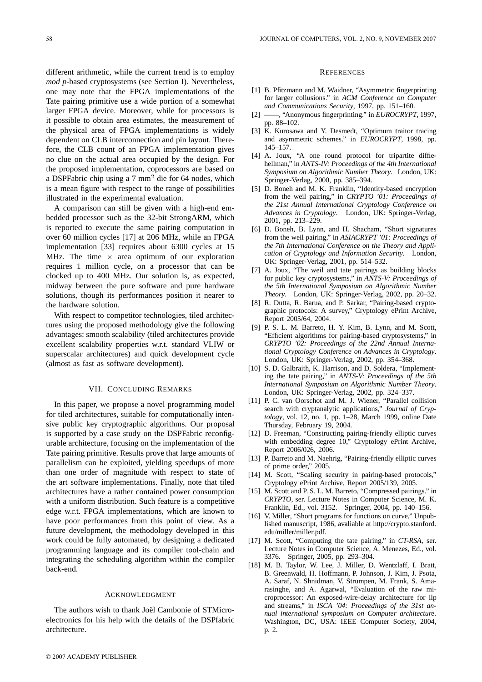different arithmetic, while the current trend is to employ *mod p*-based cryptosystems (see Section I). Nevertheless, one may note that the FPGA implementations of the Tate pairing primitive use a wide portion of a somewhat larger FPGA device. Moreover, while for processors is it possible to obtain area estimates, the measurement of the physical area of FPGA implementations is widely dependent on CLB interconnection and pin layout. Therefore, the CLB count of an FPGA implementation gives no clue on the actual area occupied by the design. For the proposed implementation, coprocessors are based on a DSPFabric chip using a 7 mm<sup>2</sup> die for 64 nodes, which is a mean figure with respect to the range of possibilities illustrated in the experimental evaluation.

A comparison can still be given with a high-end embedded processor such as the 32-bit StrongARM, which is reported to execute the same pairing computation in over 60 million cycles [17] at 206 MHz, while an FPGA implementation [33] requires about 6300 cycles at 15 MHz. The time  $\times$  area optimum of our exploration requires 1 million cycle, on a processor that can be clocked up to 400 MHz. Our solution is, as expected, midway between the pure software and pure hardware solutions, though its performances position it nearer to the hardware solution.

With respect to competitor technologies, tiled architectures using the proposed methodology give the following advantages: smooth scalability (tiled architectures provide excellent scalability properties w.r.t. standard VLIW or superscalar architectures) and quick development cycle (almost as fast as software development).

## VII. CONCLUDING REMARKS

In this paper, we propose a novel programming model for tiled architectures, suitable for computationally intensive public key cryptographic algorithms. Our proposal is supported by a case study on the DSPFabric reconfigurable architecture, focusing on the implementation of the Tate pairing primitive. Results prove that large amounts of parallelism can be exploited, yielding speedups of more than one order of magnitude with respect to state of the art software implementations. Finally, note that tiled architectures have a rather contained power consumption with a uniform distribution. Such feature is a competitive edge w.r.t. FPGA implementations, which are known to have poor performances from this point of view. As a future development, the methodology developed in this work could be fully automated, by designing a dedicated programming language and its compiler tool-chain and integrating the scheduling algorithm within the compiler back-end.

## ACKNOWLEDGMENT

The authors wish to thank Joël Cambonie of STMicroelectronics for his help with the details of the DSPfabric architecture.

#### **REFERENCES**

- [1] B. Pfitzmann and M. Waidner, "Asymmetric fingerprinting for larger collusions." in *ACM Conference on Computer and Communications Security*, 1997, pp. 151–160.
- [2] ——, "Anonymous fingerprinting." in *EUROCRYPT*, 1997, pp. 88–102.
- [3] K. Kurosawa and Y. Desmedt, "Optimum traitor tracing and asymmetric schemes." in *EUROCRYPT*, 1998, pp. 145–157.
- [4] A. Joux, "A one round protocol for tripartite diffiehellman," in *ANTS-IV: Proceedings of the 4th International Symposium on Algorithmic Number Theory*. London, UK: Springer-Verlag, 2000, pp. 385–394.
- [5] D. Boneh and M. K. Franklin, "Identity-based encryption from the weil pairing," in *CRYPTO '01: Proceedings of the 21st Annual International Cryptology Conference on Advances in Cryptology*. London, UK: Springer-Verlag, 2001, pp. 213–229.
- [6] D. Boneh, B. Lynn, and H. Shacham, "Short signatures from the weil pairing," in *ASIACRYPT '01: Proceedings of the 7th International Conference on the Theory and Application of Cryptology and Information Security*. London, UK: Springer-Verlag, 2001, pp. 514–532.
- [7] A. Joux, "The weil and tate pairings as building blocks for public key cryptosystems," in *ANTS-V: Proceedings of the 5th International Symposium on Algorithmic Number Theory*. London, UK: Springer-Verlag, 2002, pp. 20–32.
- [8] R. Dutta, R. Barua, and P. Sarkar, "Pairing-based cryptographic protocols: A survey," Cryptology ePrint Archive, Report 2005/64, 2004.
- [9] P. S. L. M. Barreto, H. Y. Kim, B. Lynn, and M. Scott, "Efficient algorithms for pairing-based cryptosystems," in *CRYPTO '02: Proceedings of the 22nd Annual International Cryptology Conference on Advances in Cryptology*. London, UK: Springer-Verlag, 2002, pp. 354–368.
- [10] S. D. Galbraith, K. Harrison, and D. Soldera, "Implementing the tate pairing," in *ANTS-V: Proceedings of the 5th International Symposium on Algorithmic Number Theory*. London, UK: Springer-Verlag, 2002, pp. 324–337.
- [11] P. C. van Oorschot and M. J. Wiener, "Parallel collision search with cryptanalytic applications," *Journal of Cryptology*, vol. 12, no. 1, pp. 1–28, March 1999, online Date Thursday, February 19, 2004.
- [12] D. Freeman, "Constructing pairing-friendly elliptic curves with embedding degree 10," Cryptology ePrint Archive, Report 2006/026, 2006.
- [13] P. Barreto and M. Naehrig, "Pairing-friendly elliptic curves of prime order," 2005.
- [14] M. Scott, "Scaling security in pairing-based protocols," Cryptology ePrint Archive, Report 2005/139, 2005.
- [15] M. Scott and P. S. L. M. Barreto, "Compressed pairings." in *CRYPTO*, ser. Lecture Notes in Computer Science, M. K. Franklin, Ed., vol. 3152. Springer, 2004, pp. 140–156.
- [16] V. Miller, "Short programs for functions on curve," Unpublished manuscript, 1986, avaliable at http://crypto.stanford. edu/miller/miller.pdf.
- [17] M. Scott, "Computing the tate pairing." in *CT-RSA*, ser. Lecture Notes in Computer Science, A. Menezes, Ed., vol. 3376. Springer, 2005, pp. 293–304.
- [18] M. B. Taylor, W. Lee, J. Miller, D. Wentzlaff, I. Bratt, B. Greenwald, H. Hoffmann, P. Johnson, J. Kim, J. Psota, A. Saraf, N. Shnidman, V. Strumpen, M. Frank, S. Amarasinghe, and A. Agarwal, "Evaluation of the raw microprocessor: An exposed-wire-delay architecture for ilp and streams," in *ISCA '04: Proceedings of the 31st annual international symposium on Computer architecture*. Washington, DC, USA: IEEE Computer Society, 2004, p. 2.